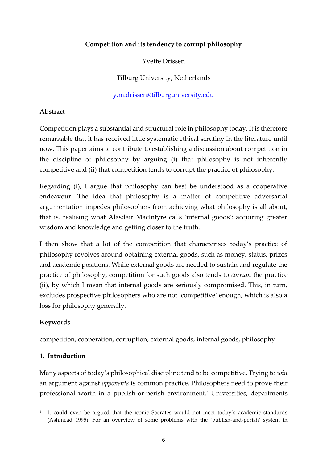## **Competition and its tendency to corrupt philosophy**

Yvette Drissen

Tilburg University, Netherlands

y.m.drissen@tilburguniversity.edu

## **Abstract**

Competition plays a substantial and structural role in philosophy today. It is therefore remarkable that it has received little systematic ethical scrutiny in the literature until now. This paper aims to contribute to establishing a discussion about competition in the discipline of philosophy by arguing (i) that philosophy is not inherently competitive and (ii) that competition tends to corrupt the practice of philosophy.

Regarding (i), I argue that philosophy can best be understood as a cooperative endeavour. The idea that philosophy is a matter of competitive adversarial argumentation impedes philosophers from achieving what philosophy is all about, that is, realising what Alasdair MacIntyre calls 'internal goods': acquiring greater wisdom and knowledge and getting closer to the truth.

I then show that a lot of the competition that characterises today's practice of philosophy revolves around obtaining external goods, such as money, status, prizes and academic positions. While external goods are needed to sustain and regulate the practice of philosophy, competition for such goods also tends to *corrupt* the practice (ii), by which I mean that internal goods are seriously compromised. This, in turn, excludes prospective philosophers who are not 'competitive' enough, which is also a loss for philosophy generally.

## **Keywords**

competition, cooperation, corruption, external goods, internal goods, philosophy

#### **1. Introduction**

Many aspects of today's philosophical discipline tend to be competitive. Trying to *win* an argument against *opponents* is common practice. Philosophers need to prove their professional worth in a publish-or-perish environment.<sup>1</sup> Universities, departments

<sup>1</sup> It could even be argued that the iconic Socrates would not meet today's academic standards (Ashmead 1995). For an overview of some problems with the 'publish-and-perish' system in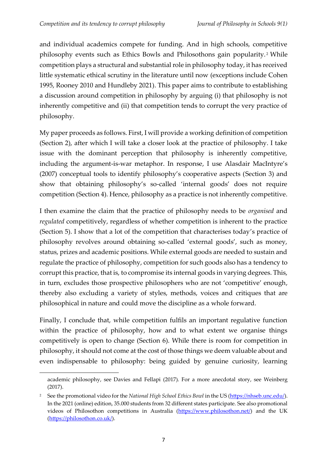and individual academics compete for funding. And in high schools, competitive philosophy events such as Ethics Bowls and Philosothons gain popularity. <sup>2</sup> While competition plays a structural and substantial role in philosophy today, it has received little systematic ethical scrutiny in the literature until now (exceptions include Cohen 1995, Rooney 2010 and Hundleby 2021). This paper aims to contribute to establishing a discussion around competition in philosophy by arguing (i) that philosophy is not inherently competitive and (ii) that competition tends to corrupt the very practice of philosophy.

My paper proceeds as follows. First, I will provide a working definition of competition (Section 2), after which I will take a closer look at the practice of philosophy. I take issue with the dominant perception that philosophy is inherently competitive, including the argument-is-war metaphor. In response, I use Alasdair MacIntyre's (2007) conceptual tools to identify philosophy's cooperative aspects (Section 3) and show that obtaining philosophy's so-called 'internal goods' does not require competition (Section 4). Hence, philosophy as a practice is not inherently competitive.

I then examine the claim that the practice of philosophy needs to be *organised* and *regulated* competitively, regardless of whether competition is inherent to the practice (Section 5). I show that a lot of the competition that characterises today's practice of philosophy revolves around obtaining so-called 'external goods', such as money, status, prizes and academic positions. While external goods are needed to sustain and regulate the practice of philosophy, competition for such goods also has a tendency to corrupt this practice, that is, to compromise its internal goods in varying degrees. This, in turn, excludes those prospective philosophers who are not 'competitive' enough, thereby also excluding a variety of styles, methods, voices and critiques that are philosophical in nature and could move the discipline as a whole forward.

Finally, I conclude that, while competition fulfils an important regulative function within the practice of philosophy, how and to what extent we organise things competitively is open to change (Section 6). While there is room for competition in philosophy, it should not come at the cost of those things we deem valuable about and even indispensable to philosophy: being guided by genuine curiosity, learning

academic philosophy, see Davies and Fellapi (2017). For a more anecdotal story, see Weinberg (2017).

<sup>2</sup> See the promotional video for the *National High School Ethics Bowl* in the US [\(https://nhseb.unc.edu/\)](https://nhseb.unc.edu/). In the 2021 (online) edition, 35.000 students from 32 different states participate. See also promotional videos of Philosothon competitions in Australia [\(https://www.philosothon.net/\)](https://www.philosothon.net/) and the UK [\(https://philosothon.co.uk/\)](https://philosothon.co.uk/).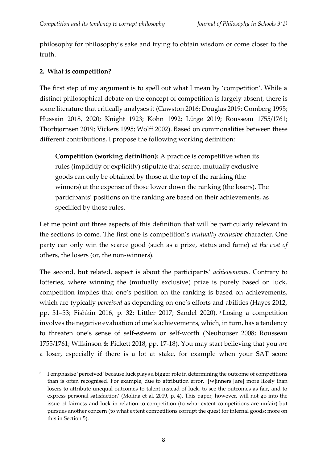philosophy for philosophy's sake and trying to obtain wisdom or come closer to the truth.

# **2. What is competition?**

The first step of my argument is to spell out what I mean by 'competition'. While a distinct philosophical debate on the concept of competition is largely absent, there is some literature that critically analyses it (Cawston 2016; Douglas 2019; Gomberg 1995; Hussain 2018, 2020; Knight 1923; Kohn 1992; Lütge 2019; Rousseau 1755/1761; Thorbjørnsen 2019; Vickers 1995; Wolff 2002). Based on commonalities between these different contributions, I propose the following working definition:

**Competition (working definition):** A practice is competitive when its rules (implicitly or explicitly) stipulate that scarce, mutually exclusive goods can only be obtained by those at the top of the ranking (the winners) at the expense of those lower down the ranking (the losers). The participants' positions on the ranking are based on their achievements, as specified by those rules.

Let me point out three aspects of this definition that will be particularly relevant in the sections to come. The first one is competition's *mutually exclusive* character. One party can only win the scarce good (such as a prize, status and fame) *at the cost of* others, the losers (or, the non-winners).

The second, but related, aspect is about the participants' *achievements*. Contrary to lotteries, where winning the (mutually exclusive) prize is purely based on luck, competition implies that one's position on the ranking is based on achievements, which are typically *perceived* as depending on one's efforts and abilities (Hayes 2012, pp. 51–53; Fishkin 2016, p. 32; Littler 2017; Sandel 2020). <sup>3</sup> Losing a competition involves the negative evaluation of one's achievements, which, in turn, has a tendency to threaten one's sense of self-esteem or self-worth (Neuhouser 2008; Rousseau 1755/1761; Wilkinson & Pickett 2018, pp. 17-18). You may start believing that you *are* a loser, especially if there is a lot at stake, for example when your SAT score

<sup>3</sup> I emphasise 'perceived' because luck plays a bigger role in determining the outcome of competitions than is often recognised. For example, due to attribution error, '[w]inners [are] more likely than losers to attribute unequal outcomes to talent instead of luck, to see the outcomes as fair, and to express personal satisfaction' (Molina et al. 2019, p. 4). This paper, however, will not go into the issue of fairness and luck in relation to competition (to what extent competitions are unfair) but pursues another concern (to what extent competitions corrupt the quest for internal goods; more on this in Section 5).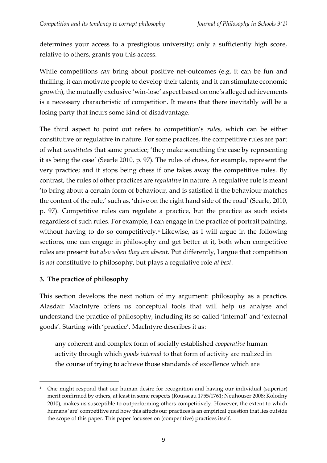determines your access to a prestigious university; only a sufficiently high score, relative to others, grants you this access.

While competitions *can* bring about positive net-outcomes (e.g. it can be fun and thrilling, it can motivate people to develop their talents, and it can stimulate economic growth), the mutually exclusive 'win-lose' aspect based on one's alleged achievements is a necessary characteristic of competition. It means that there inevitably will be a losing party that incurs some kind of disadvantage.

The third aspect to point out refers to competition's *rules*, which can be either constitutive or regulative in nature. For some practices, the competitive rules are part of what *constitutes* that same practice; 'they make something the case by representing it as being the case' (Searle 2010, p. 97). The rules of chess, for example, represent the very practice; and it stops being chess if one takes away the competitive rules. By contrast, the rules of other practices are *regulative* in nature. A regulative rule is meant 'to bring about a certain form of behaviour, and is satisfied if the behaviour matches the content of the rule,' such as, 'drive on the right hand side of the road' (Searle, 2010, p. 97). Competitive rules can regulate a practice, but the practice as such exists regardless of such rules. For example, I can engage in the practice of portrait painting, without having to do so competitively.<sup>4</sup> Likewise, as I will argue in the following sections, one can engage in philosophy and get better at it, both when competitive rules are present *but also when they are absent*. Put differently, I argue that competition is *not* constitutive to philosophy, but plays a regulative role *at best*.

#### **3. The practice of philosophy**

This section develops the next notion of my argument: philosophy as a practice. Alasdair MacIntyre offers us conceptual tools that will help us analyse and understand the practice of philosophy, including its so-called 'internal' and 'external goods'. Starting with 'practice', MacIntyre describes it as:

any coherent and complex form of socially established *cooperative* human activity through which *goods internal* to that form of activity are realized in the course of trying to achieve those standards of excellence which are

<sup>&</sup>lt;sup>4</sup> One might respond that our human desire for recognition and having our individual (superior) merit confirmed by others, at least in some respects (Rousseau 1755/1761; Neuhouser 2008; Kolodny 2010), makes us susceptible to outperforming others competitively. However, the extent to which humans 'are' competitive and how this affects our practices is an empirical question that lies outside the scope of this paper. This paper focusses on (competitive) practices itself.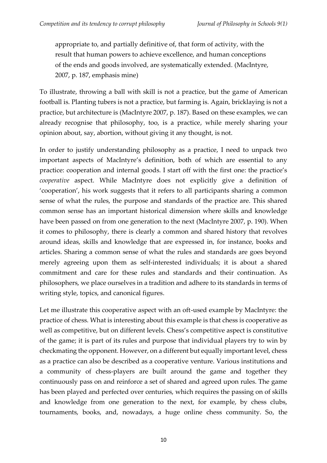appropriate to, and partially definitive of, that form of activity, with the result that human powers to achieve excellence, and human conceptions of the ends and goods involved, are systematically extended. (MacIntyre, 2007, p. 187, emphasis mine)

To illustrate, throwing a ball with skill is not a practice, but the game of American football is. Planting tubers is not a practice, but farming is. Again, bricklaying is not a practice, but architecture is (MacIntyre 2007, p. 187). Based on these examples, we can already recognise that philosophy, too, is a practice, while merely sharing your opinion about, say, abortion, without giving it any thought, is not.

In order to justify understanding philosophy as a practice, I need to unpack two important aspects of MacIntyre's definition, both of which are essential to any practice: cooperation and internal goods. I start off with the first one: the practice's *cooperative* aspect. While MacIntyre does not explicitly give a definition of 'cooperation', his work suggests that it refers to all participants sharing a common sense of what the rules, the purpose and standards of the practice are. This shared common sense has an important historical dimension where skills and knowledge have been passed on from one generation to the next (MacIntyre 2007, p. 190). When it comes to philosophy, there is clearly a common and shared history that revolves around ideas, skills and knowledge that are expressed in, for instance, books and articles. Sharing a common sense of what the rules and standards are goes beyond merely agreeing upon them as self-interested individuals; it is about a shared commitment and care for these rules and standards and their continuation. As philosophers, we place ourselves in a tradition and adhere to its standards in terms of writing style, topics, and canonical figures.

Let me illustrate this cooperative aspect with an oft-used example by MacIntyre: the practice of chess. What is interesting about this example is that chess is cooperative as well as competitive, but on different levels. Chess's competitive aspect is constitutive of the game; it is part of its rules and purpose that individual players try to win by checkmating the opponent. However, on a different but equally important level, chess as a practice can also be described as a cooperative venture. Various institutions and a community of chess-players are built around the game and together they continuously pass on and reinforce a set of shared and agreed upon rules. The game has been played and perfected over centuries, which requires the passing on of skills and knowledge from one generation to the next, for example, by chess clubs, tournaments, books, and, nowadays, a huge online chess community. So, the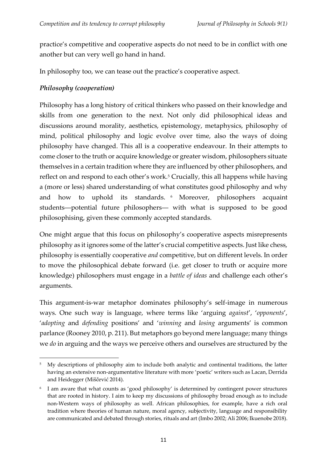practice's competitive and cooperative aspects do not need to be in conflict with one another but can very well go hand in hand.

In philosophy too, we can tease out the practice's cooperative aspect.

# *Philosophy (cooperation)*

Philosophy has a long history of critical thinkers who passed on their knowledge and skills from one generation to the next. Not only did philosophical ideas and discussions around morality, aesthetics, epistemology, metaphysics, philosophy of mind, political philosophy and logic evolve over time, also the ways of doing philosophy have changed. This all is a cooperative endeavour. In their attempts to come closer to the truth or acquire knowledge or greater wisdom, philosophers situate themselves in a certain tradition where they are influenced by other philosophers, and reflect on and respond to each other's work.<sup>5</sup> Crucially, this all happens while having a (more or less) shared understanding of what constitutes good philosophy and why and how to uphold its standards. <sup>6</sup> Moreover, philosophers acquaint students―potential future philosophers― with what is supposed to be good philosophising, given these commonly accepted standards.

One might argue that this focus on philosophy's cooperative aspects misrepresents philosophy as it ignores some of the latter's crucial competitive aspects. Just like chess, philosophy is essentially cooperative *and* competitive, but on different levels. In order to move the philosophical debate forward (i.e. get closer to truth or acquire more knowledge) philosophers must engage in a *battle of ideas* and challenge each other's arguments.

This argument-is-war metaphor dominates philosophy's self-image in numerous ways. One such way is language, where terms like 'arguing *against*', '*opponents*', '*adopting* and *defending* positions' and '*winning* and *losing* arguments' is common parlance (Rooney 2010, p. 211). But metaphors go beyond mere language; many things we *do* in arguing and the ways we perceive others and ourselves are structured by the

<sup>&</sup>lt;sup>5</sup> My descriptions of philosophy aim to include both analytic and continental traditions, the latter having an extensive non-argumentative literature with more 'poetic' writers such as Lacan, Derrida and Heidegger (Miščević 2014).

<sup>6</sup> I am aware that what counts as 'good philosophy' is determined by contingent power structures that are rooted in history. I aim to keep my discussions of philosophy broad enough as to include non-Western ways of philosophy as well. African philosophies, for example, have a rich oral tradition where theories of human nature, moral agency, subjectivity, language and responsibility are communicated and debated through stories, rituals and art (Imbo 2002; Ali 2006; Ikuenobe 2018).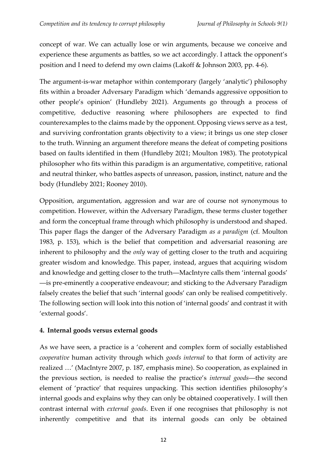concept of war. We can actually lose or win arguments, because we conceive and experience these arguments as battles, so we act accordingly. I attack the opponent's position and I need to defend my own claims (Lakoff & Johnson 2003, pp. 4-6).

The argument-is-war metaphor within contemporary (largely 'analytic') philosophy fits within a broader Adversary Paradigm which 'demands aggressive opposition to other people's opinion' (Hundleby 2021). Arguments go through a process of competitive, deductive reasoning where philosophers are expected to find counterexamples to the claims made by the opponent. Opposing views serve as a test, and surviving confrontation grants objectivity to a view; it brings us one step closer to the truth. Winning an argument therefore means the defeat of competing positions based on faults identified in them (Hundleby 2021; Moulton 1983). The prototypical philosopher who fits within this paradigm is an argumentative, competitive, rational and neutral thinker, who battles aspects of unreason, passion, instinct, nature and the body (Hundleby 2021; Rooney 2010).

Opposition, argumentation, aggression and war are of course not synonymous to competition. However, within the Adversary Paradigm, these terms cluster together and form the conceptual frame through which philosophy is understood and shaped. This paper flags the danger of the Adversary Paradigm *as a paradigm* (cf. Moulton 1983, p. 153), which is the belief that competition and adversarial reasoning are inherent to philosophy and the *only* way of getting closer to the truth and acquiring greater wisdom and knowledge. This paper, instead, argues that acquiring wisdom and knowledge and getting closer to the truth―MacIntyre calls them 'internal goods' ―is pre-eminently a cooperative endeavour; and sticking to the Adversary Paradigm falsely creates the belief that such 'internal goods' can only be realised competitively. The following section will look into this notion of 'internal goods' and contrast it with 'external goods'.

## **4. Internal goods versus external goods**

As we have seen, a practice is a 'coherent and complex form of socially established *cooperative* human activity through which *goods internal* to that form of activity are realized …' (MacIntyre 2007, p. 187, emphasis mine). So cooperation, as explained in the previous section, is needed to realise the practice's *internal goods*―the second element of 'practice' that requires unpacking. This section identifies philosophy's internal goods and explains why they can only be obtained cooperatively. I will then contrast internal with *external goods*. Even if one recognises that philosophy is not inherently competitive and that its internal goods can only be obtained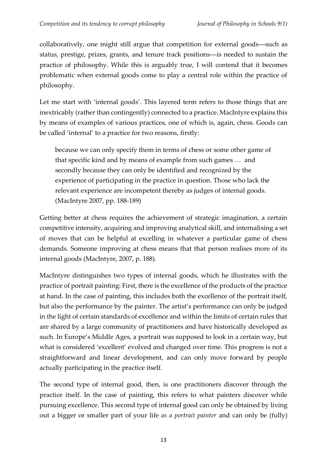collaboratively, one might still argue that competition for external goods―such as status, prestige, prizes, grants, and tenure track positions―is needed to sustain the practice of philosophy. While this is arguably true, I will contend that it becomes problematic when external goods come to play a central role within the practice of philosophy.

Let me start with 'internal goods'. This layered term refers to those things that are inextricably (rather than contingently) connected to a practice. MacIntyre explains this by means of examples of various practices, one of which is, again, chess. Goods can be called 'internal' to a practice for two reasons, firstly:

because we can only specify them in terms of chess or some other game of that specific kind and by means of example from such games … and secondly because they can only be identified and recognized by the experience of participating in the practice in question. Those who lack the relevant experience are incompetent thereby as judges of internal goods. (MacIntyre 2007, pp. 188-189)

Getting better at chess requires the achievement of strategic imagination, a certain competitive intensity, acquiring and improving analytical skill, and internalising a set of moves that can be helpful at excelling in whatever a particular game of chess demands. Someone improving at chess means that that person realises more of its internal goods (MacIntyre, 2007, p. 188).

MacIntyre distinguishes two types of internal goods, which he illustrates with the practice of portrait painting: First, there is the excellence of the products of the practice at hand. In the case of painting, this includes both the excellence of the portrait itself, but also the performance by the painter. The artist's performance can only be judged in the light of certain standards of excellence and within the limits of certain rules that are shared by a large community of practitioners and have historically developed as such. In Europe's Middle Ages, a portrait was supposed to look in a certain way, but what is considered 'excellent' evolved and changed over time. This progress is not a straightforward and linear development, and can only move forward by people actually participating in the practice itself.

The second type of internal good, then, is one practitioners discover through the practice itself. In the case of painting, this refers to what painters discover while pursuing excellence. This second type of internal good can only be obtained by living out a bigger or smaller part of your life *as a portrait painter* and can only be (fully)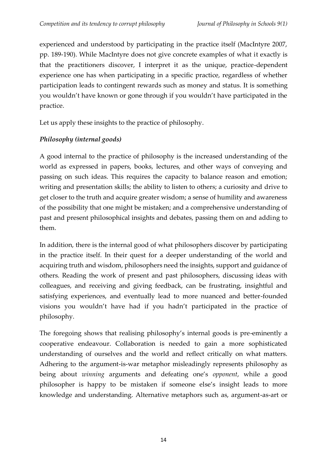experienced and understood by participating in the practice itself (MacIntyre 2007, pp. 189-190). While MacIntyre does not give concrete examples of what it exactly is that the practitioners discover, I interpret it as the unique, practice-dependent experience one has when participating in a specific practice, regardless of whether participation leads to contingent rewards such as money and status. It is something you wouldn't have known or gone through if you wouldn't have participated in the practice.

Let us apply these insights to the practice of philosophy.

# *Philosophy (internal goods)*

A good internal to the practice of philosophy is the increased understanding of the world as expressed in papers, books, lectures, and other ways of conveying and passing on such ideas. This requires the capacity to balance reason and emotion; writing and presentation skills; the ability to listen to others; a curiosity and drive to get closer to the truth and acquire greater wisdom; a sense of humility and awareness of the possibility that one might be mistaken; and a comprehensive understanding of past and present philosophical insights and debates, passing them on and adding to them.

In addition, there is the internal good of what philosophers discover by participating in the practice itself. In their quest for a deeper understanding of the world and acquiring truth and wisdom, philosophers need the insights, support and guidance of others. Reading the work of present and past philosophers, discussing ideas with colleagues, and receiving and giving feedback, can be frustrating, insightful and satisfying experiences, and eventually lead to more nuanced and better-founded visions you wouldn't have had if you hadn't participated in the practice of philosophy.

The foregoing shows that realising philosophy's internal goods is pre-eminently a cooperative endeavour. Collaboration is needed to gain a more sophisticated understanding of ourselves and the world and reflect critically on what matters. Adhering to the argument-is-war metaphor misleadingly represents philosophy as being about *winning* arguments and defeating one's *opponent*, while a good philosopher is happy to be mistaken if someone else's insight leads to more knowledge and understanding. Alternative metaphors such as, argument-as-art or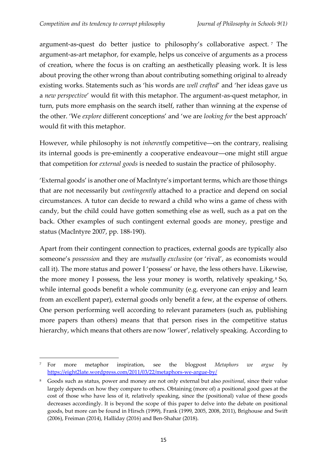argument-as-quest do better justice to philosophy's collaborative aspect. <sup>7</sup> The argument-as-art metaphor, for example, helps us conceive of arguments as a process of creation, where the focus is on crafting an aesthetically pleasing work. It is less about proving the other wrong than about contributing something original to already existing works. Statements such as 'his words are *well crafted*' and 'her ideas gave us a *new perspective*' would fit with this metaphor. The argument-as-quest metaphor, in turn, puts more emphasis on the search itself, rather than winning at the expense of the other. 'We *explore* different conceptions' and 'we are *looking for* the best approach' would fit with this metaphor.

However, while philosophy is not *inherently* competitive―on the contrary, realising its internal goods is pre-eminently a cooperative endeavour―one might still argue that competition for *external goods* is needed to sustain the practice of philosophy.

'External goods' is another one of MacIntyre's important terms, which are those things that are not necessarily but *contingently* attached to a practice and depend on social circumstances. A tutor can decide to reward a child who wins a game of chess with candy, but the child could have gotten something else as well, such as a pat on the back. Other examples of such contingent external goods are money, prestige and status (MacIntyre 2007, pp. 188-190).

Apart from their contingent connection to practices, external goods are typically also someone's *possession* and they are *mutually exclusive* (or 'rival', as economists would call it). The more status and power I 'possess' or have, the less others have. Likewise, the more money I possess, the less your money is worth, relatively speaking. <sup>8</sup> So, while internal goods benefit a whole community (e.g. everyone can enjoy and learn from an excellent paper), external goods only benefit a few, at the expense of others. One person performing well according to relevant parameters (such as, publishing more papers than others) means that that person rises in the competitive status hierarchy, which means that others are now 'lower', relatively speaking. According to

<sup>7</sup> For more metaphor inspiration, see the blogpost *Metaphors we argue by* <https://eight2late.wordpress.com/2011/03/22/metaphors-we-argue-by/>

<sup>8</sup> Goods such as status, power and money are not only external but also *positional*, since their value largely depends on how they compare to others. Obtaining (more of) a positional good goes at the cost of those who have less of it, relatively speaking, since the (positional) value of these goods decreases accordingly. It is beyond the scope of this paper to delve into the debate on positional goods, but more can be found in Hirsch (1999), Frank (1999, 2005, 2008, 2011), Brighouse and Swift (2006), Freiman (2014), Halliday (2016) and Ben-Shahar (2018).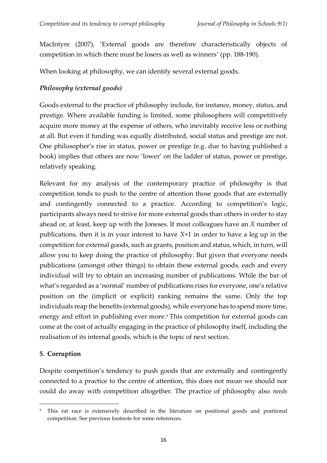MacIntyre (2007), 'External goods are therefore characteristically objects of competition in which there must be losers as well as winners' (pp. 188-190).

When looking at philosophy, we can identify several external goods.

## *Philosophy (external goods)*

Goods external to the practice of philosophy include, for instance, money, status, and prestige. Where available funding is limited, some philosophers will competitively acquire more money at the expense of others, who inevitably receive less or nothing at all. But even if funding was equally distributed, social status and prestige are not. One philosopher's rise in status, power or prestige (e.g. due to having published a book) implies that others are now 'lower' on the ladder of status, power or prestige, relatively speaking.

Relevant for my analysis of the contemporary practice of philosophy is that competition tends to push to the centre of attention those goods that are externally and contingently connected to a practice. According to competition's logic, participants always need to strive for more external goods than others in order to stay ahead or, at least, keep up with the Joneses. If most colleagues have an *X* number of publications, then it is in your interest to have *X*+1 in order to have a leg up in the competition for external goods, such as grants, position and status, which, in turn, will allow you to keep doing the practice of philosophy. But given that everyone needs publications (amongst other things) to obtain these external goods, each and every individual will try to obtain an increasing number of publications. While the bar of what's regarded as a 'normal' number of publications rises for everyone, one's relative position on the (implicit or explicit) ranking remains the same. Only the top individuals reap the benefits (external goods), while everyone has to spend more time, energy and effort in publishing ever more.<sup>9</sup> This competition for external goods can come at the cost of actually engaging in the practice of philosophy itself, including the realisation of its internal goods, which is the topic of next section.

#### **5. Corruption**

Despite competition's tendency to push goods that are externally and contingently connected to a practice to the centre of attention, this does not mean we should nor could do away with competition altogether. The practice of philosophy also *needs*

This rat race is extensively described in the literature on positional goods and positional competition. See previous footnote for some references.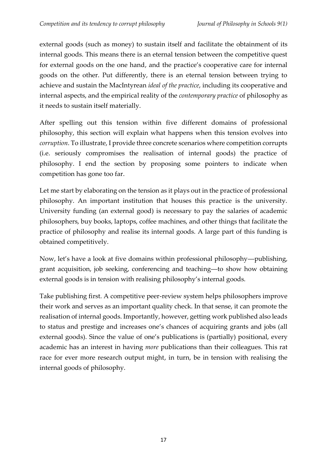external goods (such as money) to sustain itself and facilitate the obtainment of its internal goods. This means there is an eternal tension between the competitive quest for external goods on the one hand, and the practice's cooperative care for internal goods on the other. Put differently, there is an eternal tension between trying to achieve and sustain the MacIntyrean *ideal of the practice*, including its cooperative and internal aspects, and the empirical reality of the *contemporary practice* of philosophy as it needs to sustain itself materially.

After spelling out this tension within five different domains of professional philosophy, this section will explain what happens when this tension evolves into *corruption*. To illustrate, I provide three concrete scenarios where competition corrupts (i.e. seriously compromises the realisation of internal goods) the practice of philosophy. I end the section by proposing some pointers to indicate when competition has gone too far.

Let me start by elaborating on the tension as it plays out in the practice of professional philosophy. An important institution that houses this practice is the university. University funding (an external good) is necessary to pay the salaries of academic philosophers, buy books, laptops, coffee machines, and other things that facilitate the practice of philosophy and realise its internal goods. A large part of this funding is obtained competitively.

Now, let's have a look at five domains within professional philosophy―publishing, grant acquisition, job seeking, conferencing and teaching―to show how obtaining external goods is in tension with realising philosophy's internal goods.

Take publishing first. A competitive peer-review system helps philosophers improve their work and serves as an important quality check. In that sense, it can promote the realisation of internal goods. Importantly, however, getting work published also leads to status and prestige and increases one's chances of acquiring grants and jobs (all external goods). Since the value of one's publications is (partially) positional, every academic has an interest in having *more* publications than their colleagues. This rat race for ever more research output might, in turn, be in tension with realising the internal goods of philosophy.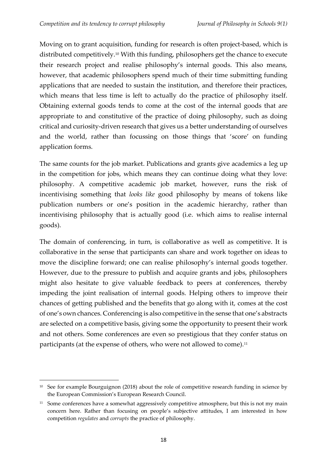Moving on to grant acquisition, funding for research is often project-based, which is distributed competitively.<sup>10</sup> With this funding, philosophers get the chance to execute their research project and realise philosophy's internal goods. This also means, however, that academic philosophers spend much of their time submitting funding applications that are needed to sustain the institution, and therefore their practices, which means that less time is left to actually do the practice of philosophy itself. Obtaining external goods tends to come at the cost of the internal goods that are appropriate to and constitutive of the practice of doing philosophy, such as doing critical and curiosity-driven research that gives us a better understanding of ourselves and the world, rather than focussing on those things that 'score' on funding application forms.

The same counts for the job market. Publications and grants give academics a leg up in the competition for jobs, which means they can continue doing what they love: philosophy. A competitive academic job market, however, runs the risk of incentivising something that *looks like* good philosophy by means of tokens like publication numbers or one's position in the academic hierarchy, rather than incentivising philosophy that is actually good (i.e. which aims to realise internal goods).

The domain of conferencing, in turn, is collaborative as well as competitive. It is collaborative in the sense that participants can share and work together on ideas to move the discipline forward; one can realise philosophy's internal goods together. However, due to the pressure to publish and acquire grants and jobs, philosophers might also hesitate to give valuable feedback to peers at conferences, thereby impeding the joint realisation of internal goods. Helping others to improve their chances of getting published and the benefits that go along with it, comes at the cost of one's own chances. Conferencing is also competitive in the sense that one's abstracts are selected on a competitive basis, giving some the opportunity to present their work and not others. Some conferences are even so prestigious that they confer status on participants (at the expense of others, who were not allowed to come).<sup>11</sup>

<sup>&</sup>lt;sup>10</sup> See for example Bourguignon (2018) about the role of competitive research funding in science by the European Commission's European Research Council.

<sup>&</sup>lt;sup>11</sup> Some conferences have a somewhat aggressively competitive atmosphere, but this is not my main concern here. Rather than focusing on people's subjective attitudes, I am interested in how competition *regulates* and *corrupts* the practice of philosophy.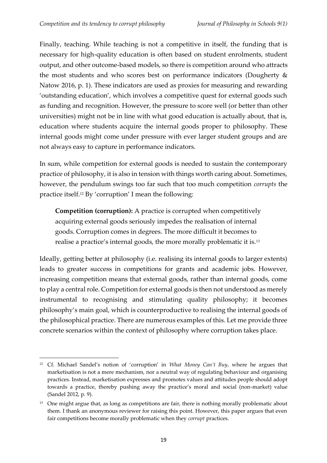Finally, teaching. While teaching is not a competitive in itself, the funding that is necessary for high-quality education is often based on student enrolments, student output, and other outcome-based models, so there is competition around who attracts the most students and who scores best on performance indicators (Dougherty & Natow 2016, p. 1). These indicators are used as proxies for measuring and rewarding 'outstanding education', which involves a competitive quest for external goods such as funding and recognition. However, the pressure to score well (or better than other universities) might not be in line with what good education is actually about, that is, education where students acquire the internal goods proper to philosophy. These internal goods might come under pressure with ever larger student groups and are not always easy to capture in performance indicators.

In sum, while competition for external goods is needed to sustain the contemporary practice of philosophy, it is also in tension with things worth caring about. Sometimes, however, the pendulum swings too far such that too much competition *corrupts* the practice itself.<sup>12</sup> By 'corruption' I mean the following:

**Competition (corruption):** A practice is corrupted when competitively acquiring external goods seriously impedes the realisation of internal goods. Corruption comes in degrees. The more difficult it becomes to realise a practice's internal goods, the more morally problematic it is.<sup>13</sup>

Ideally, getting better at philosophy (i.e. realising its internal goods to larger extents) leads to greater success in competitions for grants and academic jobs. However, increasing competition means that external goods, rather than internal goods, come to play a central role. Competition for external goods is then not understood as merely instrumental to recognising and stimulating quality philosophy; it becomes philosophy's main goal, which is counterproductive to realising the internal goods of the philosophical practice. There are numerous examples of this. Let me provide three concrete scenarios within the context of philosophy where corruption takes place.

<sup>12</sup> Cf. Michael Sandel's notion of 'corruption' in *What Money Can't Buy*, where he argues that marketisation is not a mere mechanism, nor a neutral way of regulating behaviour and organising practices. Instead, marketisation expresses and promotes values and attitudes people should adopt towards a practice, thereby pushing away the practice's moral and social (non-market) value (Sandel 2012, p. 9).

<sup>&</sup>lt;sup>13</sup> One might argue that, as long as competitions are fair, there is nothing morally problematic about them. I thank an anonymous reviewer for raising this point. However, this paper argues that even fair competitions become morally problematic when they *corrupt* practices.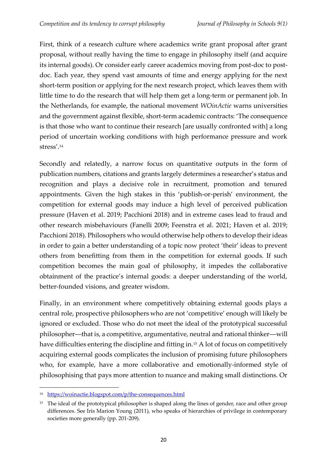First, think of a research culture where academics write grant proposal after grant proposal, without really having the time to engage in philosophy itself (and acquire its internal goods). Or consider early career academics moving from post-doc to postdoc. Each year, they spend vast amounts of time and energy applying for the next short-term position or applying for the next research project, which leaves them with little time to do the research that will help them get a long-term or permanent job. In the Netherlands, for example, the national movement *WOinActie* warns universities and the government against flexible, short-term academic contracts: 'The consequence is that those who want to continue their research [are usually confronted with] a long period of uncertain working conditions with high performance pressure and work stress'. 14

Secondly and relatedly, a narrow focus on quantitative outputs in the form of publication numbers, citations and grants largely determines a researcher's status and recognition and plays a decisive role in recruitment, promotion and tenured appointments. Given the high stakes in this 'publish-or-perish' environment, the competition for external goods may induce a high level of perceived publication pressure (Haven et al. 2019; Pacchioni 2018) and in extreme cases lead to fraud and other research misbehaviours (Fanelli 2009; Feenstra et al. 2021; Haven et al. 2019; Pacchioni 2018). Philosophers who would otherwise help others to develop their ideas in order to gain a better understanding of a topic now protect 'their' ideas to prevent others from benefitting from them in the competition for external goods. If such competition becomes the main goal of philosophy, it impedes the collaborative obtainment of the practice's internal goods: a deeper understanding of the world, better-founded visions, and greater wisdom.

Finally, in an environment where competitively obtaining external goods plays a central role, prospective philosophers who are not 'competitive' enough will likely be ignored or excluded. Those who do not meet the ideal of the prototypical successful philosopher―that is, a competitive, argumentative, neutral and rational thinker―will have difficulties entering the discipline and fitting in.<sup>15</sup> A lot of focus on competitively acquiring external goods complicates the inclusion of promising future philosophers who, for example, have a more collaborative and emotionally-informed style of philosophising that pays more attention to nuance and making small distinctions. Or

<sup>14</sup> <https://woinactie.blogspot.com/p/the-consequences.html>

<sup>&</sup>lt;sup>15</sup> The ideal of the prototypical philosopher is shaped along the lines of gender, race and other group differences. See Iris Marion Young (2011), who speaks of hierarchies of privilege in contemporary societies more generally (pp. 201-209).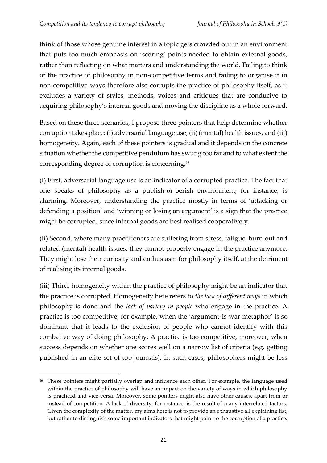think of those whose genuine interest in a topic gets crowded out in an environment that puts too much emphasis on 'scoring' points needed to obtain external goods, rather than reflecting on what matters and understanding the world. Failing to think of the practice of philosophy in non-competitive terms and failing to organise it in non-competitive ways therefore also corrupts the practice of philosophy itself, as it excludes a variety of styles, methods, voices and critiques that are conducive to acquiring philosophy's internal goods and moving the discipline as a whole forward.

Based on these three scenarios, I propose three pointers that help determine whether corruption takes place: (i) adversarial language use, (ii) (mental) health issues, and (iii) homogeneity. Again, each of these pointers is gradual and it depends on the concrete situation whether the competitive pendulum has swung too far and to what extent the corresponding degree of corruption is concerning.<sup>16</sup>

(i) First, adversarial language use is an indicator of a corrupted practice. The fact that one speaks of philosophy as a publish-or-perish environment, for instance, is alarming. Moreover, understanding the practice mostly in terms of 'attacking or defending a position' and 'winning or losing an argument' is a sign that the practice might be corrupted, since internal goods are best realised cooperatively.

(ii) Second, where many practitioners are suffering from stress, fatigue, burn-out and related (mental) health issues, they cannot properly engage in the practice anymore. They might lose their curiosity and enthusiasm for philosophy itself, at the detriment of realising its internal goods.

(iii) Third, homogeneity within the practice of philosophy might be an indicator that the practice is corrupted. Homogeneity here refers to *the lack of different ways* in which philosophy is done and the *lack of variety in people* who engage in the practice. A practice is too competitive, for example, when the 'argument-is-war metaphor' is so dominant that it leads to the exclusion of people who cannot identify with this combative way of doing philosophy. A practice is too competitive, moreover, when success depends on whether one scores well on a narrow list of criteria (e.g. getting published in an elite set of top journals). In such cases, philosophers might be less

<sup>&</sup>lt;sup>16</sup> These pointers might partially overlap and influence each other. For example, the language used within the practice of philosophy will have an impact on the variety of ways in which philosophy is practiced and vice versa. Moreover, some pointers might also have other causes, apart from or instead of competition. A lack of diversity, for instance, is the result of many interrelated factors. Given the complexity of the matter, my aims here is not to provide an exhaustive all explaining list, but rather to distinguish some important indicators that might point to the corruption of a practice.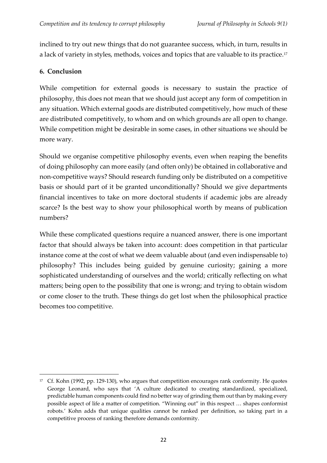inclined to try out new things that do not guarantee success, which, in turn, results in a lack of variety in styles, methods, voices and topics that are valuable to its practice.<sup>17</sup>

## **6. Conclusion**

While competition for external goods is necessary to sustain the practice of philosophy, this does not mean that we should just accept any form of competition in any situation. Which external goods are distributed competitively, how much of these are distributed competitively, to whom and on which grounds are all open to change. While competition might be desirable in some cases, in other situations we should be more wary.

Should we organise competitive philosophy events, even when reaping the benefits of doing philosophy can more easily (and often only) be obtained in collaborative and non-competitive ways? Should research funding only be distributed on a competitive basis or should part of it be granted unconditionally? Should we give departments financial incentives to take on more doctoral students if academic jobs are already scarce? Is the best way to show your philosophical worth by means of publication numbers?

While these complicated questions require a nuanced answer, there is one important factor that should always be taken into account: does competition in that particular instance come at the cost of what we deem valuable about (and even indispensable to) philosophy? This includes being guided by genuine curiosity; gaining a more sophisticated understanding of ourselves and the world; critically reflecting on what matters; being open to the possibility that one is wrong; and trying to obtain wisdom or come closer to the truth. These things do get lost when the philosophical practice becomes too competitive.

<sup>&</sup>lt;sup>17</sup> Cf. Kohn (1992, pp. 129-130), who argues that competition encourages rank conformity. He quotes George Leonard, who says that 'A culture dedicated to creating standardized, specialized, predictable human components could find no better way of grinding them out than by making every possible aspect of life a matter of competition. "Winning out" in this respect … shapes conformist robots.' Kohn adds that unique qualities cannot be ranked per definition, so taking part in a competitive process of ranking therefore demands conformity.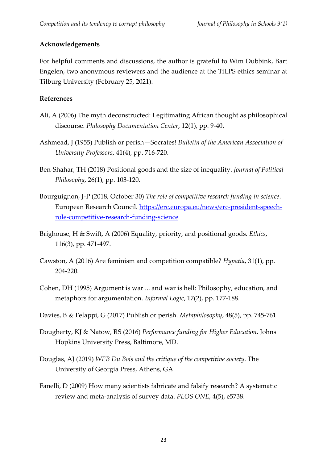## **Acknowledgements**

For helpful comments and discussions, the author is grateful to Wim Dubbink, Bart Engelen, two anonymous reviewers and the audience at the TiLPS ethics seminar at Tilburg University (February 25, 2021).

## **References**

- Ali, A (2006) The myth deconstructed: Legitimating African thought as philosophical discourse. *Philosophy Documentation Center*, 12(1), pp. 9-40.
- Ashmead, J (1955) Publish or perish—Socrates! *Bulletin of the American Association of University Professors*, 41(4), pp. 716-720.
- Ben-Shahar, TH (2018) Positional goods and the size of inequality. *Journal of Political Philosophy*, 26(1), pp. 103-120.
- Bourguignon, J-P (2018, October 30) *The role of competitive research funding in science*. European Research Council. [https://erc.europa.eu/news/erc-president-speech](https://erc.europa.eu/news/erc-president-speech-role-competitive-research-funding-science)[role-competitive-research-funding-science](https://erc.europa.eu/news/erc-president-speech-role-competitive-research-funding-science)
- Brighouse, H & Swift, A (2006) Equality, priority, and positional goods. *Ethics*, 116(3), pp. 471-497.
- Cawston, A (2016) Are feminism and competition compatible? *Hypatia*, 31(1), pp. 204-220.
- Cohen, DH (1995) Argument is war ... and war is hell: Philosophy, education, and metaphors for argumentation. *Informal Logic*, 17(2), pp. 177-188.
- Davies, B & Felappi, G (2017) Publish or perish. *Metaphilosophy*, 48(5), pp. 745-761.
- Dougherty, KJ & Natow, RS (2016) *Performance funding for Higher Education*. Johns Hopkins University Press, Baltimore, MD.
- Douglas, AJ (2019) *WEB Du Bois and the critique of the competitive society*. The University of Georgia Press, Athens, GA.
- Fanelli, D (2009) How many scientists fabricate and falsify research? A systematic review and meta-analysis of survey data. *PLOS ONE*, 4(5), e5738.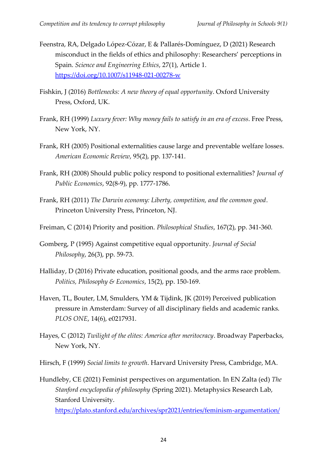- Feenstra, RA, Delgado López-Cózar, E & Pallarés-Domínguez, D (2021) Research misconduct in the fields of ethics and philosophy: Researchers' perceptions in Spain. *Science and Engineering Ethics*, 27(1), Article 1. <https://doi.org/10.1007/s11948-021-00278-w>
- Fishkin, J (2016) *Bottlenecks: A new theory of equal opportunity*. Oxford University Press, Oxford, UK.
- Frank, RH (1999) *Luxury fever: Why money fails to satisfy in an era of excess*. Free Press, New York, NY.
- Frank, RH (2005) Positional externalities cause large and preventable welfare losses. *American Economic Review*, 95(2), pp. 137-141.
- Frank, RH (2008) Should public policy respond to positional externalities? *Journal of Public Economics*, 92(8-9), pp. 1777-1786.
- Frank, RH (2011) *The Darwin economy: Liberty, competition, and the common good*. Princeton University Press, Princeton, NJ.
- Freiman, C (2014) Priority and position. *Philosophical Studies*, 167(2), pp. 341-360.
- Gomberg, P (1995) Against competitive equal opportunity. *Journal of Social Philosophy*, 26(3), pp. 59-73.
- Halliday, D (2016) Private education, positional goods, and the arms race problem. *Politics, Philosophy & Economics*, 15(2), pp. 150-169.
- Haven, TL, Bouter, LM, Smulders, YM & Tijdink, JK (2019) Perceived publication pressure in Amsterdam: Survey of all disciplinary fields and academic ranks. *PLOS ONE*, 14(6), e0217931.
- Hayes, C (2012) *Twilight of the elites: America after meritocracy*. Broadway Paperbacks, New York, NY.
- Hirsch, F (1999) *Social limits to growth*. Harvard University Press, Cambridge, MA.
- Hundleby, CE (2021) Feminist perspectives on argumentation. In EN Zalta (ed) *The Stanford encyclopedia of philosophy* (Spring 2021). Metaphysics Research Lab, Stanford University.

<https://plato.stanford.edu/archives/spr2021/entries/feminism-argumentation/>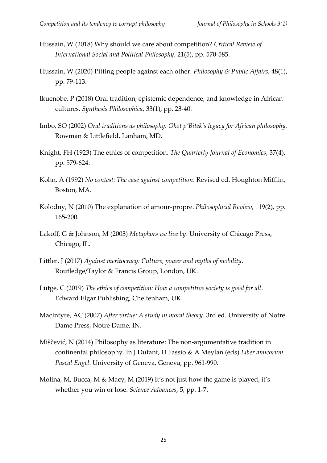- Hussain, W (2018) Why should we care about competition? *Critical Review of International Social and Political Philosophy*, 21(5), pp. 570-585.
- Hussain, W (2020) Pitting people against each other. *Philosophy & Public Affairs*, 48(1), pp. 79-113.
- Ikuenobe, P (2018) Oral tradition, epistemic dependence, and knowledge in African cultures. *Synthesis Philosophica*, 33(1), pp. 23-40.
- Imbo, SO (2002) *Oral traditions as philosophy: Okot p'Bitek's legacy for African philosophy*. Rowman & Littlefield, Lanham, MD.
- Knight, FH (1923) The ethics of competition. *The Quarterly Journal of Economics*, 37(4), pp. 579-624.
- Kohn, A (1992) *No contest: The case against competition*. Revised ed. Houghton Mifflin, Boston, MA.
- Kolodny, N (2010) The explanation of amour-propre. *Philosophical Review*, 119(2), pp. 165-200.
- Lakoff, G & Johnson, M (2003) *Metaphors we live by*. University of Chicago Press, Chicago, IL.
- Littler, J (2017) *Against meritocracy: Culture, power and myths of mobility*. Routledge/Taylor & Francis Group, London, UK.
- Lütge, C (2019) *The ethics of competition: How a competitive society is good for all*. Edward Elgar Publishing, Cheltenham, UK.
- MacIntyre, AC (2007) *After virtue: A study in moral theory*. 3rd ed. University of Notre Dame Press, Notre Dame, IN.
- Miščević, N (2014) Philosophy as literature: The non-argumentative tradition in continental philosophy. In J Dutant, D Fassio & A Meylan (eds) *Liber amicorum Pascal Engel*. University of Geneva, Geneva, pp. 961-990.
- Molina, M, Bucca, M & Macy, M (2019) It's not just how the game is played, it's whether you win or lose. *Science Advances*, 5, pp. 1-7.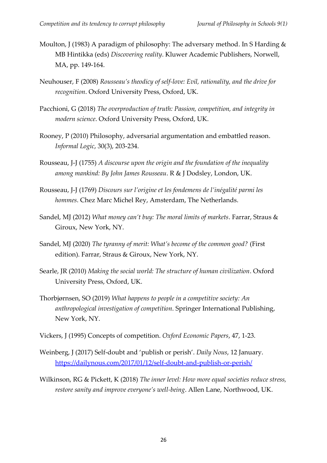- Moulton, J (1983) A paradigm of philosophy: The adversary method. In S Harding & MB Hintikka (eds) *Discovering reality*. Kluwer Academic Publishers, Norwell, MA, pp. 149-164.
- Neuhouser, F (2008) *Rousseau's theodicy of self-love: Evil, rationality, and the drive for recognition*. Oxford University Press, Oxford, UK.
- Pacchioni, G (2018) *The overproduction of truth: Passion, competition, and integrity in modern science*. Oxford University Press, Oxford, UK.
- Rooney, P (2010) Philosophy, adversarial argumentation and embattled reason. *Informal Logic*, 30(3), 203-234.
- Rousseau, J-J (1755) *A discourse upon the origin and the foundation of the inequality among mankind: By John James Rousseau*. R & J Dodsley, London, UK.
- Rousseau, J-J (1769) *Discours sur l'origine et les fondemens de l'inégalité parmi les hommes*. Chez Marc Michel Rey, Amsterdam, The Netherlands.
- Sandel, MJ (2012) *What money can't buy: The moral limits of markets*. Farrar, Straus & Giroux, New York, NY.
- Sandel, MJ (2020) *The tyranny of merit: What's become of the common good?* (First edition). Farrar, Straus & Giroux, New York, NY.
- Searle, JR (2010) *Making the social world: The structure of human civilization*. Oxford University Press, Oxford, UK.
- Thorbjørnsen, SO (2019) *What happens to people in a competitive society: An anthropological investigation of competition*. Springer International Publishing, New York, NY.
- Vickers, J (1995) Concepts of competition. *Oxford Economic Papers*, 47, 1-23.
- Weinberg, J (2017) Self-doubt and 'publish or perish'. *Daily Nous*, 12 January. <https://dailynous.com/2017/01/12/self-doubt-and-publish-or-perish/>
- Wilkinson, RG & Pickett, K (2018) *The inner level: How more equal societies reduce stress, restore sanity and improve everyone's well-being*. Allen Lane, Northwood, UK.